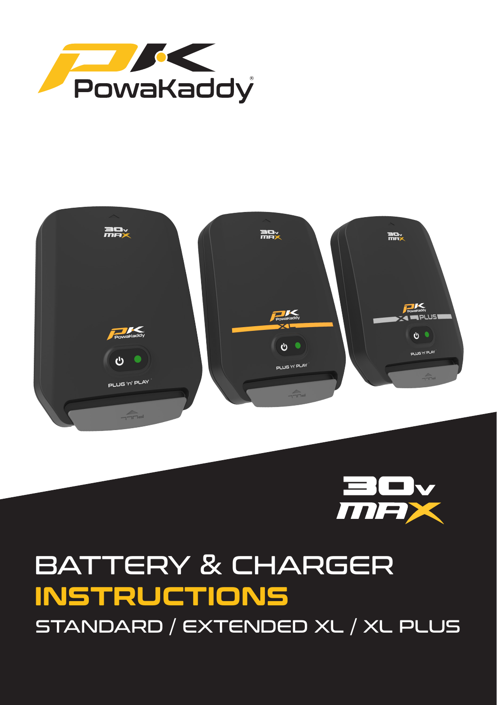





# BATTERY & CHARGER **INSTRUCTIONS** STANDARD / EXTENDED XL / XL PLUS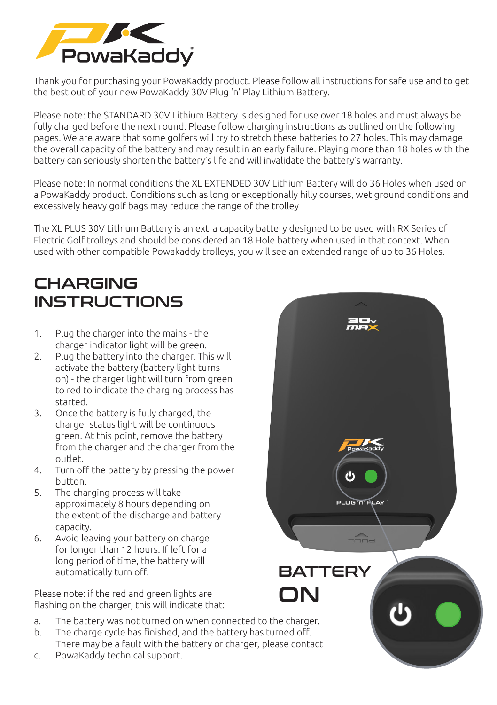

Thank you for purchasing your PowaKaddy product. Please follow all instructions for safe use and to get the best out of your new PowaKaddy 30V Plug 'n' Play Lithium Battery.

Please note: the STANDARD 30V Lithium Battery is designed for use over 18 holes and must always be fully charged before the next round. Please follow charging instructions as outlined on the following pages. We are aware that some golfers will try to stretch these batteries to 27 holes. This may damage the overall capacity of the battery and may result in an early failure. Playing more than 18 holes with the battery can seriously shorten the battery's life and will invalidate the battery's warranty.

Please note: In normal conditions the XL EXTENDED 30V Lithium Battery will do 36 Holes when used on a PowaKaddy product. Conditions such as long or exceptionally hilly courses, wet ground conditions and excessively heavy golf bags may reduce the range of the trolley

The XL PLUS 30V Lithium Battery is an extra capacity battery designed to be used with RX Series of Electric Golf trolleys and should be considered an 18 Hole battery when used in that context. When used with other compatible Powakaddy trolleys, you will see an extended range of up to 36 Holes.

## CHARGING **INSTRUCTIONS**

- 1. Plug the charger into the mains the charger indicator light will be green.
- 2. Plug the battery into the charger. This will activate the battery (battery light turns on) - the charger light will turn from green to red to indicate the charging process has started.
- 3. Once the battery is fully charged, the charger status light will be continuous green. At this point, remove the battery from the charger and the charger from the outlet.
- 4. Turn off the battery by pressing the power button.
- 5. The charging process will take approximately 8 hours depending on the extent of the discharge and battery capacity.
- 6. Avoid leaving your battery on charge for longer than 12 hours. If left for a long period of time, the battery will automatically turn off.

Please note: if the red and green lights are Please note: if the red and green lights are  $\Box$   $\Box$ 

- The battery was not turned on when connected to the charger. a.
- The charge cycle has finished, and the battery has turned off. There may be a fault with the battery or charger, please contact b.
- PowaKaddy technical support. c.

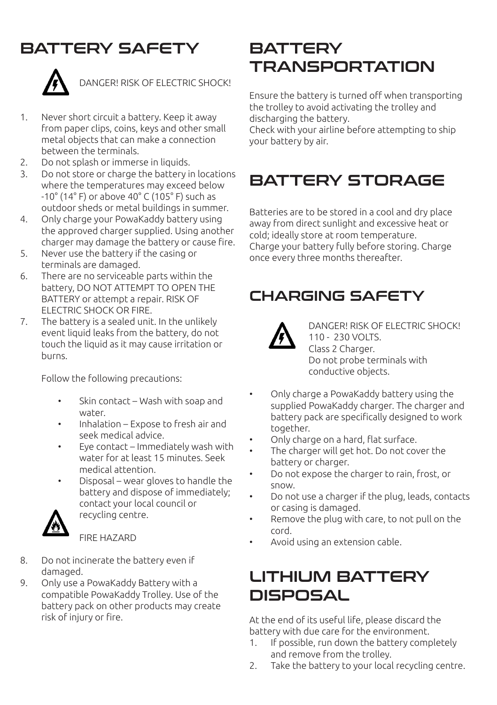#### BATTERY SAFETY



DANGER! RISK OF ELECTRIC SHOCK!

- 1. Never short circuit a battery. Keep it away from paper clips, coins, keys and other small metal objects that can make a connection between the terminals.
- 2. Do not splash or immerse in liquids.
- 3. Do not store or charge the battery in locations where the temperatures may exceed below -10° (14° F) or above 40° C (105° F) such as outdoor sheds or metal buildings in summer.
- 4. Only charge your PowaKaddy battery using the approved charger supplied. Using another charger may damage the battery or cause fire.
- 5. Never use the battery if the casing or terminals are damaged.
- 6. There are no serviceable parts within the battery, DO NOT ATTEMPT TO OPEN THE BATTERY or attempt a repair. RISK OF ELECTRIC SHOCK OR FIRE.
- 7. The battery is a sealed unit. In the unlikely event liquid leaks from the battery, do not touch the liquid as it may cause irritation or burns.

Follow the following precautions:

- Skin contact Wash with soap and water.
- Inhalation Expose to fresh air and seek medical advice.
- Eye contact Immediately wash with water for at least 15 minutes. Seek medical attention.
- Disposal wear gloves to handle the battery and dispose of immediately; contact your local council or recycling centre.



FIRE HAZARD

- 8. Do not incinerate the battery even if damaged.
- 9. Only use a PowaKaddy Battery with a compatible PowaKaddy Trolley. Use of the battery pack on other products may create risk of injury or fire.

# **BATTERY** TRANSPORTATION

Ensure the battery is turned off when transporting the trolley to avoid activating the trolley and discharging the battery.

Check with your airline before attempting to ship your battery by air.

# BATTERY STORAGE

Batteries are to be stored in a cool and dry place away from direct sunlight and excessive heat or cold; ideally store at room temperature. Charge your battery fully before storing. Charge once every three months thereafter.

#### CHARGING SAFETY



DANGER! RISK OF ELECTRIC SHOCK! 110 - 230 VOLTS. Class 2 Charger. Do not probe terminals with conductive objects.

- Only charge a PowaKaddy battery using the supplied PowaKaddy charger. The charger and battery pack are specifically designed to work together.
- Only charge on a hard, flat surface.
- The charger will get hot. Do not cover the battery or charger.
- Do not expose the charger to rain, frost, or snow.
- Do not use a charger if the plug, leads, contacts or casing is damaged.
- Remove the plug with care, to not pull on the cord.
- Avoid using an extension cable.

## LITHIUM BATTERY **DISPOSAL**

At the end of its useful life, please discard the battery with due care for the environment.

- 1. If possible, run down the battery completely and remove from the trolley.
- 2. Take the battery to your local recycling centre.